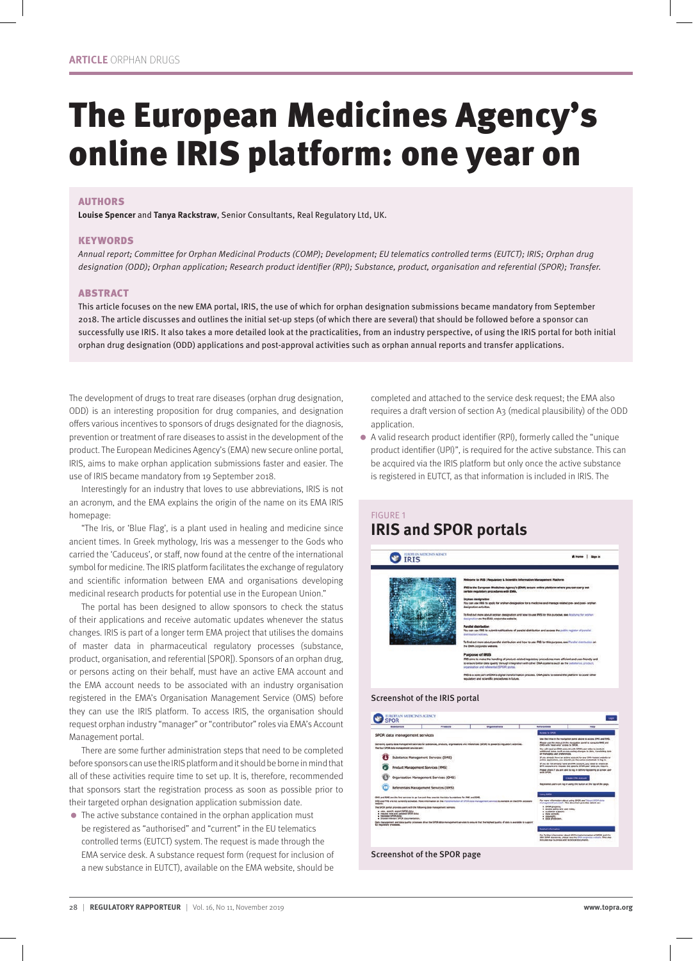# The European Medicines Agency's online IRIS platform: one year on

#### AUTHORS

**Louise Spencer** and **Tanya Rackstraw**, Senior Consultants, Real Regulatory Ltd, UK.

#### **KEYWORDS**

Annual report; Committee for Orphan Medicinal Products (COMP); Development; EU telematics controlled terms (EUTCT); IRIS; Orphan drug designation (ODD); Orphan application; Research product identifier (RPI); Substance, product, organisation and referential (SPOR); Transfer.

#### ABSTRACT

This article focuses on the new EMA portal, IRIS, the use of which for orphan designation submissions became mandatory from September 2018. The article discusses and outlines the initial set-up steps (of which there are several) that should be followed before a sponsor can successfully use IRIS. It also takes a more detailed look at the practicalities, from an industry perspective, of using the IRIS portal for both initial orphan drug designation (ODD) applications and post-approval activities such as orphan annual reports and transfer applications.

The development of drugs to treat rare diseases (orphan drug designation, ODD) is an interesting proposition for drug companies, and designation offers various incentives to sponsors of drugs designated for the diagnosis, prevention or treatment of rare diseases to assist in the development of the product. The European Medicines Agency's (EMA) new secure online portal, IRIS, aims to make orphan application submissions faster and easier. The use of IRIS became mandatory from 19 September 2018.

Interestingly for an industry that loves to use abbreviations, IRIS is not an acronym, and the EMA explains the origin of the name on its EMA IRIS homepage:

"The Iris, or 'Blue Flag', is a plant used in healing and medicine since ancient times. In Greek mythology, Iris was a messenger to the Gods who carried the 'Caduceus', or staff, now found at the centre of the international symbol for medicine. The IRIS platform facilitates the exchange of regulatory and scientific information between EMA and organisations developing medicinal research products for potential use in the European Union."

The portal has been designed to allow sponsors to check the status of their applications and receive automatic updates whenever the status changes. IRIS is part of a longer term EMA project that utilises the domains of master data in pharmaceutical regulatory processes (substance, product, organisation, and referential [SPOR]). Sponsors of an orphan drug, or persons acting on their behalf, must have an active EMA account and the EMA account needs to be associated with an industry organisation registered in the EMA's Organisation Management Service (OMS) before they can use the IRIS platform. To access IRIS, the organisation should request orphan industry "manager" or "contributor" roles via EMA's Account Management portal.

There are some further administration steps that need to be completed before sponsors can use the IRIS platform and it should be borne in mind that all of these activities require time to set up. It is, therefore, recommended that sponsors start the registration process as soon as possible prior to their targeted orphan designation application submission date.

• The active substance contained in the orphan application must be registered as "authorised" and "current" in the EU telematics controlled terms (EUTCT) system. The request is made through the EMA service desk. A substance request form (request for inclusion of a new substance in EUTCT), available on the EMA website, should be

completed and attached to the service desk request; the EMA also requires a draft version of section A3 (medical plausibility) of the ODD application.

 $\bullet$  A valid research product identifier (RPI), formerly called the "unique product identifier (UPI)", is required for the active substance. This can be acquired via the IRIS platform but only once the active substance is registered in EUTCT, as that information is included in IRIS. The

# FIGURE 1 **IRIS and SPOR portals**



#### Screenshot of the IRIS portal

| Eubstanda                                                                                                                                                                                                                                                                                                                                                                                              |  | Products                                                                                             | Greatiusland |  | <b>Beforestials</b>                                                                                                                                                                                                                             | madia                                                                                                                                     |
|--------------------------------------------------------------------------------------------------------------------------------------------------------------------------------------------------------------------------------------------------------------------------------------------------------------------------------------------------------------------------------------------------------|--|------------------------------------------------------------------------------------------------------|--------------|--|-------------------------------------------------------------------------------------------------------------------------------------------------------------------------------------------------------------------------------------------------|-------------------------------------------------------------------------------------------------------------------------------------------|
| SPOR data management services                                                                                                                                                                                                                                                                                                                                                                          |  |                                                                                                      |              |  | Arrest la SPOR                                                                                                                                                                                                                                  |                                                                                                                                           |
|                                                                                                                                                                                                                                                                                                                                                                                                        |  |                                                                                                      |              |  | Use the Irrise in the navigation panel above to access OHS and RHS.                                                                                                                                                                             |                                                                                                                                           |
| Delivering quality data management services for substances, products, engenisations and rehenologic (SPOR) to power \$1/ requisitory potenties.                                                                                                                                                                                                                                                        |  |                                                                                                      |              |  | Please use the menus in the newsation panel to newsate RPS and<br>CMS with 'resid-only' access to SPOR                                                                                                                                          |                                                                                                                                           |
| The filter SPOR data management services are:                                                                                                                                                                                                                                                                                                                                                          |  |                                                                                                      |              |  | You will need an EMA account with SPOR year roles to combuit.<br>additional tools, just as requesting changes to data, translating data<br>ar Harlestna user dreferences.                                                                       |                                                                                                                                           |
| Substance Management Services (SMS)                                                                                                                                                                                                                                                                                                                                                                    |  |                                                                                                      |              |  | If you already have an active account for any ERIA-hosted website or<br>entities approximant, you should use the same credentials to buy in.                                                                                                    |                                                                                                                                           |
| roduct Management Services (PNS)                                                                                                                                                                                                                                                                                                                                                                       |  |                                                                                                      |              |  | 37 prior dis mail altwardly haven am ERIA positional, play meets list creatie are<br>EPA ACCOUNT and request the specific SPCA user roles you require.<br>Please check if you are allow to log in before restatemed as a new uper<br>with SPOA. |                                                                                                                                           |
|                                                                                                                                                                                                                                                                                                                                                                                                        |  |                                                                                                      |              |  |                                                                                                                                                                                                                                                 |                                                                                                                                           |
| Organisation Management Services (OMS)                                                                                                                                                                                                                                                                                                                                                                 |  |                                                                                                      |              |  | <b>CHIPM EMA ADDUNE</b>                                                                                                                                                                                                                         |                                                                                                                                           |
| Referentials Management Services (RMS)                                                                                                                                                                                                                                                                                                                                                                 |  |                                                                                                      |              |  | Recyclened users can big in using the bullion at the top of the page.                                                                                                                                                                           |                                                                                                                                           |
|                                                                                                                                                                                                                                                                                                                                                                                                        |  | OHS and RHS are the first services to go five and they provide the data foundations for FHS and SHS. |              |  | <b>Using SPOR</b>                                                                                                                                                                                                                               |                                                                                                                                           |
| 5/45 and PHS are not ownerely activated. Make information an the instrumenation of SPOR cata management services is available on the EMA corporate<br>welcom                                                                                                                                                                                                                                           |  |                                                                                                      |              |  | For more information about using SPOR see "About GPOX data<br>management vervices". This disturbes provides details se:                                                                                                                         |                                                                                                                                           |
| The SPOR portal provides users with the following data instrupement services:<br>· cies, search, export SPOR data:<br>. required new and updated \$POR data:<br>. Interestada SPC/6 data:<br>. Terrored determined SAVIR discovered aftern.<br>Data rice/usement and data qualify prisonaes drive the SPOR data management aervises to ensure that the highest quality of data is available to support |  |                                                                                                      |              |  | a SPOR property.<br>. Access policy and user rows;<br>. Outdomer bupport:<br>. data content:<br>a concentrate<br>a dista probation                                                                                                              |                                                                                                                                           |
| EU regulatory processes.                                                                                                                                                                                                                                                                                                                                                                               |  |                                                                                                      |              |  | <b>Ralated information</b>                                                                                                                                                                                                                      |                                                                                                                                           |
|                                                                                                                                                                                                                                                                                                                                                                                                        |  |                                                                                                      |              |  | Includes hey business and technical documents.                                                                                                                                                                                                  | For Turther information about EMA's instantaziont of SEOS and the<br>350 32RP standards, please see the DVA corporate withstir. This stat |